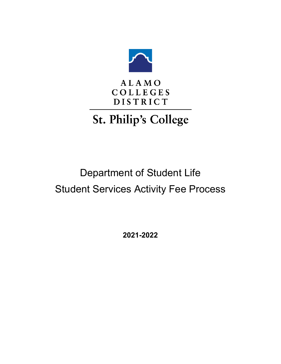

### **ALAMO COLLEGES DISTRICT**

# St. Philip's College

## Department of Student Life Student Services Activity Fee Process

**2021-2022**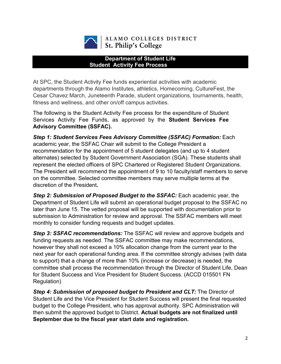

#### ALAMO COLLEGES DISTRICT St. Philip's College

#### **Department of Student Life Student Activity Fee Process**

At SPC, the Student Activity Fee funds experiential activities with academic departments through the Alamo Institutes, athletics, Homecoming, CultureFest, the Cesar Chavez March, Juneteenth Parade, student organizations, tournaments, health, fitness and wellness, and other on/off campus activities.

The following is the Student Activity Fee process for the expenditure of Student Services Activity Fee Funds, as approved by the **Student Services Fee Advisory Committee (SSFAC).**

*Step 1: Student Services Fees Advisory Committee (SSFAC) Formation:* Each academic year, the SSFAC Chair will submit to the College President a recommendation for the appointment of 5 student delegates (and up to 4 student alternates) selected by Student Government Association (SGA). These students shall represent the elected officers of SPC Chartered or Registered Student Organizations. The President will recommend the appointment of 9 to 10 faculty/staff members to serve on the committee. Selected committee members may serve multiple terms at the discretion of the President*.*

*Step 2: Submission of Proposed Budget to the SSFAC:* Each academic year, the Department of Student Life will submit an operational budget proposal to the SSFAC no later than June 15. The vetted proposal will be supported with documentation prior to submission to Administration for review and approval. The SSFAC members will meet monthly to consider funding requests and budget updates.

**Step 3: SSFAC recommendations:** The SSFAC will review and approve budgets and funding requests as needed. The SSFAC committee may make recommendations, however they shall not exceed a 10% allocation change from the current year to the next year for each operational funding area. If the committee strongly advises (with data to support) that a change of more than 10% (increase or decrease) is needed, the committee shall process the recommendation through the Director of Student Life, Dean for Student Success and Vice President for Student Success. (ACCD 015501 FN Regulation)

*Step 4: Submission of proposed budget to President and CLT:* The Director of Student Life and the Vice President for Student Success will present the final requested budget to the College President, who has approval authority. SPC Administration will then submit the approved budget to District. **Actual budgets are not finalized until September due to the fiscal year start date and registration.**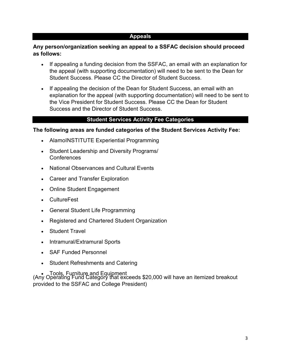#### **Appeals**

#### **Any person/organization seeking an appeal to a SSFAC decision should proceed as follows:**

- If appealing a funding decision from the SSFAC, an email with an explanation for the appeal (with supporting documentation) will need to be sent to the Dean for Student Success. Please CC the Director of Student Success.
- If appealing the decision of the Dean for Student Success, an email with an explanation for the appeal (with supporting documentation) will need to be sent to the Vice President for Student Success. Please CC the Dean for Student Success and the Director of Student Success.

#### **Student Services Activity Fee Categories**

#### **The following areas are funded categories of the Student Services Activity Fee:**

- AlamoINSTITUTE Experiential Programming
- Student Leadership and Diversity Programs/ **Conferences**
- National Observances and Cultural Events
- Career and Transfer Exploration
- Online Student Engagement
- CultureFest
- General Student Life Programming
- Registered and Chartered Student Organization
- Student Travel
- Intramural/Extramural Sports
- SAF Funded Personnel
- Student Refreshments and Catering

• Tools, Furniture and Equipment (Any Operating Fund Category that exceeds \$20,000 will have an itemized breakout provided to the SSFAC and College President)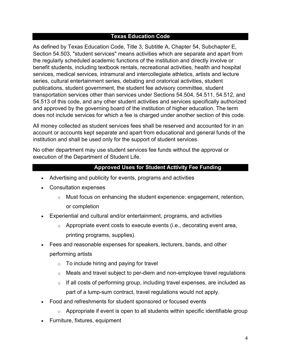#### **Texas Education Code**

As defined by Texas Education Code, Title 3, Subtitle A, Chapter 54, Subchapter E, Section 54.503, "student services" means activities which are separate and apart from the regularly scheduled academic functions of the institution and directly involve or benefit students, including textbook rentals, recreational activities, health and hospital services, medical services, intramural and intercollegiate athletics, artists and lecture series, cultural entertainment series, debating and oratorical activities, student publications, student government, the student fee advisory committee, student transportation services other than services under Sections 54.504, 54.511, 54.512, and 54.513 of this code, and any other student activities and services specifically authorized and approved by the governing board of the institution of higher education. The term does not include services for which a fee is charged under another section of this code.

All money collected as student services fees shall be reserved and accounted for in an account or accounts kept separate and apart from educational and general funds of the institution and shall be used only for the support of student services.

No other department may use student services fee funds without the approval or execution of the Department of Student Life.

#### **Approved Uses for Student Acttivity Fee Funding**

- Advertising and publicity for events, programs and activities
- Consultation expenses
	- o Must focus on enhancing the student experience: engagement, retention, or completion
- Experiential and cultural and/or entertainment, programs, and activities
	- $\circ$  Appropriate event costs to execute events (i.e., decorating event area, printing programs, supplies).
- Fees and reasonable expenses for speakers, lecturers, bands, and other performing artists
	- $\circ$  To include hiring and paying for travel
	- $\circ$  Meals and travel subject to per-diem and non-employee travel regulations
	- $\circ$  If all costs of performing group, including travel expenses, are included as part of a lump-sum contract, travel regulations would not apply.
- Food and refreshments for student sponsored or focused events
	- $\circ$  Appropriate if event is open to all students within specific identifiable group
- Furniture, fixtures, equipment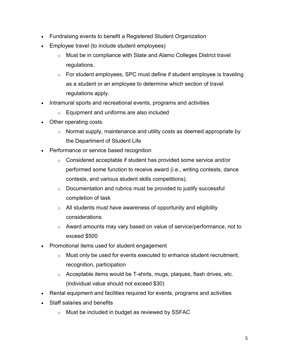- Fundraising events to benefit a Registered Student Organization
- Employee travel (to include student employees)
	- $\circ$  Must be in compliance with State and Alamo Colleges District travel regulations.
	- $\circ$  For student employees, SPC must define if student employee is traveling as a student or an employee to determine which section of travel regulations apply.
- Intramural sports and recreational events, programs and activities
	- $\circ$  Equipment and uniforms are also included
- Other operating costs
	- $\circ$  Normal supply, maintenance and utility costs as deemed appropriate by the Department of Student Life
- Performance or service based recognition
	- $\circ$  Considered acceptable if student has provided some service and/or performed some function to receive award (i.e., writing contests, dance contests, and various student skills competitions).
	- $\circ$  Documentation and rubrics must be provided to justify successful completion of task
	- $\circ$  All students must have awareness of opportunity and eligibility considerations
	- $\circ$  Award amounts may vary based on value of service/performance, not to exceed \$500
- Promotional items used for student engagement
	- $\circ$  Must only be used for events executed to enhance student recruitment, recognition, participation
	- $\circ$  Acceptable items would be T-shirts, mugs, plaques, flash drives, etc. (individual value should not exceed \$30)
- Rental equipment and facilities required for events, programs and activities
- Staff salaries and benefits
	- o Must be included in budget as reviewed by SSFAC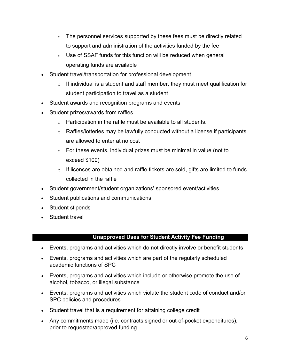- $\circ$  The personnel services supported by these fees must be directly related to support and administration of the activities funded by the fee
- $\circ$  Use of SSAF funds for this function will be reduced when general operating funds are available
- Student travel/transportation for professional development
	- $\circ$  If individual is a student and staff member, they must meet qualification for student participation to travel as a student
- Student awards and recognition programs and events
- Student prizes/awards from raffles
	- $\circ$  Participation in the raffle must be available to all students.
	- $\circ$  Raffles/lotteries may be lawfully conducted without a license if participants are allowed to enter at no cost
	- $\circ$  For these events, individual prizes must be minimal in value (not to exceed \$100)
	- $\circ$  If licenses are obtained and raffle tickets are sold, gifts are limited to funds collected in the raffle
- Student government/student organizations' sponsored event/activities
- Student publications and communications
- Student stipends
- Student travel

#### **Unapproved Uses for Student Activity Fee Funding**

- Events, programs and activities which do not directly involve or benefit students
- Events, programs and activities which are part of the regularly scheduled academic functions of SPC
- Events, programs and activities which include or otherwise promote the use of alcohol, tobacco, or illegal substance
- Events, programs and activities which violate the student code of conduct and/or SPC policies and procedures
- Student travel that is a requirement for attaining college credit
- Any commitments made (i.e. contracts signed or out-of-pocket expenditures), prior to requested/approved funding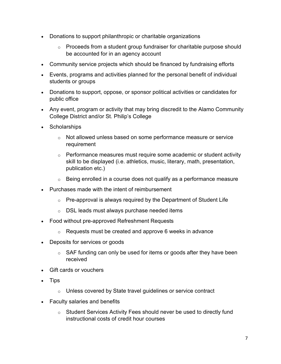- Donations to support philanthropic or charitable organizations
	- $\circ$  Proceeds from a student group fundraiser for charitable purpose should be accounted for in an agency account
- Community service projects which should be financed by fundraising efforts
- Events, programs and activities planned for the personal benefit of individual students or groups
- Donations to support, oppose, or sponsor political activities or candidates for public office
- Any event, program or activity that may bring discredit to the Alamo Community College District and/or St. Philip's College
- Scholarships
	- $\circ$  Not allowed unless based on some performance measure or service requirement
	- $\circ$  Performance measures must require some academic or student activity skill to be displayed (i.e. athletics, music, literary, math, presentation, publication etc.)
	- $\circ$  Being enrolled in a course does not qualify as a performance measure
- Purchases made with the intent of reimbursement
	- $\circ$  Pre-approval is always required by the Department of Student Life
	- $\circ$  DSL leads must always purchase needed items
- Food without pre-approved Refreshment Requests
	- o Requests must be created and approve 6 weeks in advance
- Deposits for services or goods
	- $\circ$  SAF funding can only be used for items or goods after they have been received
- Gift cards or vouchers
- Tips
	- $\circ$  Unless covered by State travel guidelines or service contract
- Faculty salaries and benefits
	- $\circ$  Student Services Activity Fees should never be used to directly fund instructional costs of credit hour courses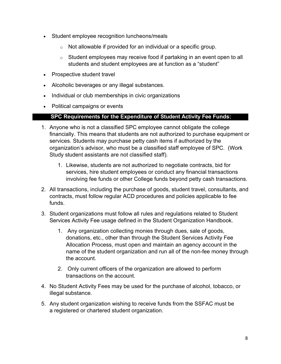- Student employee recognition luncheons/meals
	- o Not allowable if provided for an individual or a specific group.
	- $\circ$  Student employees may receive food if partaking in an event open to all students and student employees are at function as a "student"
- Prospective student travel
- Alcoholic beverages or any illegal substances.
- Individual or club memberships in civic organizations
- Political campaigns or events

#### **SPC Requirements for the Expenditure of Student Activity Fee Funds:**

- 1. Anyone who is not a classified SPC employee cannot obligate the college financially. This means that students are not authorized to purchase equipment or services. Students may purchase petty cash items if authorized by the organization's advisor, who must be a classified staff employee of SPC. (Work Study student assistants are not classified staff).
	- 1. Likewise, students are not authorized to negotiate contracts, bid for services, hire student employees or conduct any financial transactions involving fee funds or other College funds beyond petty cash transactions.
- 2. All transactions, including the purchase of goods, student travel, consultants, and contracts, must follow regular ACD procedures and policies applicable to fee funds.
- 3. Student organizations must follow all rules and regulations related to Student Services Activity Fee usage defined in the Student Organization Handbook.
	- 1. Any organization collecting monies through dues, sale of goods, donations, etc., other than through the Student Services Activity Fee Allocation Process, must open and maintain an agency account in the name of the student organization and run all of the non-fee money through the account.
	- 2. Only current officers of the organization are allowed to perform transactions on the account.
- 4. No Student Activity Fees may be used for the purchase of alcohol, tobacco, or illegal substance.
- 5. Any student organization wishing to receive funds from the SSFAC must be a registered or chartered student organization.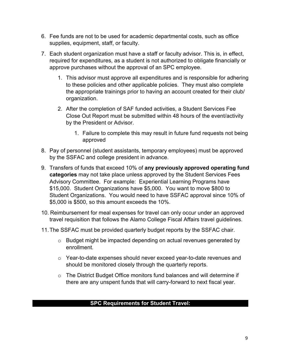- 6. Fee funds are not to be used for academic departmental costs, such as office supplies, equipment, staff, or faculty.
- 7. Each student organization must have a staff or faculty advisor. This is, in effect, required for expenditures, as a student is not authorized to obligate financially or approve purchases without the approval of an SPC employee.
	- 1. This advisor must approve all expenditures and is responsible for adhering to these policies and other applicable policies. They must also complete the appropriate trainings prior to having an account created for their club/ organization.
	- 2. After the completion of SAF funded activities, a Student Services Fee Close Out Report must be submitted within 48 hours of the event/activity by the President or Advisor.
		- 1. Failure to complete this may result in future fund requests not being approved
- 8. Pay of personnel (student assistants, temporary employees) must be approved by the SSFAC and college president in advance.
- 9. Transfers of funds that exceed 10% of **any previously approved operating fund categories** may not take place unless approved by the Student Services Fees Advisory Committee. For example: Experiential Learning Programs have \$15,000. Student Organizations have \$5,000. You want to move \$800 to Student Organizations. You would need to have SSFAC approval since 10% of \$5,000 is \$500, so this amount exceeds the 10%.
- 10. Reimbursement for meal expenses for travel can only occur under an approved travel requisition that follows the Alamo College Fiscal Affairs travel guidelines.
- 11.The SSFAC must be provided quarterly budget reports by the SSFAC chair.
	- o Budget might be impacted depending on actual revenues generated by enrollment.
	- o Year-to-date expenses should never exceed year-to-date revenues and should be monitored closely through the quarterly reports.
	- o The District Budget Office monitors fund balances and will determine if there are any unspent funds that will carry-forward to next fiscal year.

#### **SPC Requirements for Student Travel:**